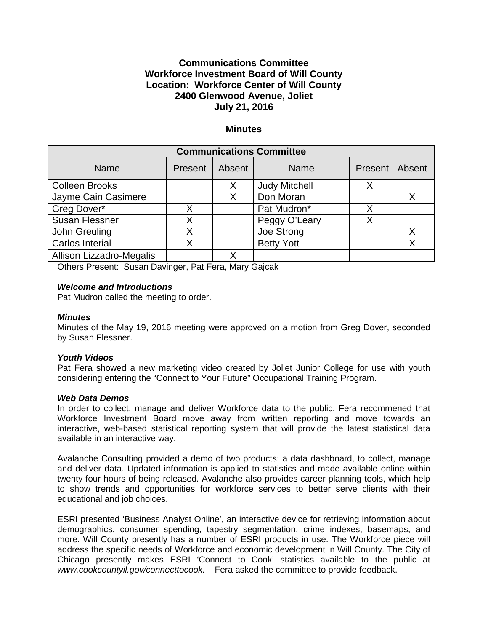# **Communications Committee Workforce Investment Board of Will County Location: Workforce Center of Will County 2400 Glenwood Avenue, Joliet July 21, 2016**

## **Minutes**

| <b>Communications Committee</b> |         |        |                      |   |                |
|---------------------------------|---------|--------|----------------------|---|----------------|
| <b>Name</b>                     | Present | Absent | <b>Name</b>          |   | Present Absent |
| <b>Colleen Brooks</b>           |         | X      | <b>Judy Mitchell</b> | Χ |                |
| Jayme Cain Casimere             |         | Χ      | Don Moran            |   |                |
| Greg Dover*                     |         |        | Pat Mudron*          |   |                |
| <b>Susan Flessner</b>           |         |        | Peggy O'Leary        | Χ |                |
| John Greuling                   |         |        | Joe Strong           |   | Х              |
| Carlos Interial                 |         |        | <b>Betty Yott</b>    |   |                |
| Allison Lizzadro-Megalis        |         |        |                      |   |                |

Others Present: Susan Davinger, Pat Fera, Mary Gajcak

# *Welcome and Introductions*

Pat Mudron called the meeting to order.

## *Minutes*

Minutes of the May 19, 2016 meeting were approved on a motion from Greg Dover, seconded by Susan Flessner.

#### *Youth Videos*

Pat Fera showed a new marketing video created by Joliet Junior College for use with youth considering entering the "Connect to Your Future" Occupational Training Program.

#### *Web Data Demos*

In order to collect, manage and deliver Workforce data to the public, Fera recommened that Workforce Investment Board move away from written reporting and move towards an interactive, web-based statistical reporting system that will provide the latest statistical data available in an interactive way.

Avalanche Consulting provided a demo of two products: a data dashboard, to collect, manage and deliver data. Updated information is applied to statistics and made available online within twenty four hours of being released. Avalanche also provides career planning tools, which help to show trends and opportunities for workforce services to better serve clients with their educational and job choices.

ESRI presented 'Business Analyst Online', an interactive device for retrieving information about demographics, consumer spending, tapestry segmentation, crime indexes, basemaps, and more. Will County presently has a number of ESRI products in use. The Workforce piece will address the specific needs of Workforce and economic development in Will County. The City of Chicago presently makes ESRI 'Connect to Cook' statistics available to the public at *[www.cookcountyil.gov/connecttocook.](http://www.cookcountyil.gov/connecttocook)* Fera asked the committee to provide feedback.